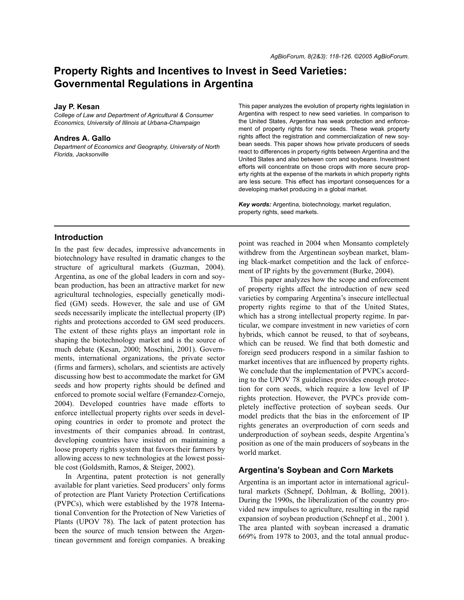# **Property Rights and Incentives to Invest in Seed Varieties: Governmental Regulations in Argentina**

#### **Jay P. Kesan**

*College of Law and Department of Agricultural & Consumer Economics, University of Illinois at Urbana-Champaign*

#### **Andres A. Gallo**

*Department of Economics and Geography, University of North Florida, Jacksonville*

This paper analyzes the evolution of property rights legislation in Argentina with respect to new seed varieties. In comparison to the United States, Argentina has weak protection and enforcement of property rights for new seeds. These weak property rights affect the registration and commercialization of new soybean seeds. This paper shows how private producers of seeds react to differences in property rights between Argentina and the United States and also between corn and soybeans. Investment efforts will concentrate on those crops with more secure property rights at the expense of the markets in which property rights are less secure. This effect has important consequences for a developing market producing in a global market.

*Key words:* Argentina, biotechnology, market regulation, property rights, seed markets.

## **Introduction**

In the past few decades, impressive advancements in biotechnology have resulted in dramatic changes to the structure of agricultural markets (Guzman, 2004). Argentina, as one of the global leaders in corn and soybean production, has been an attractive market for new agricultural technologies, especially genetically modified (GM) seeds. However, the sale and use of GM seeds necessarily implicate the intellectual property (IP) rights and protections accorded to GM seed producers. The extent of these rights plays an important role in shaping the biotechnology market and is the source of much debate (Kesan, 2000; Moschini, 2001). Governments, international organizations, the private sector (firms and farmers), scholars, and scientists are actively discussing how best to accommodate the market for GM seeds and how property rights should be defined and enforced to promote social welfare (Fernandez-Cornejo, 2004). Developed countries have made efforts to enforce intellectual property rights over seeds in developing countries in order to promote and protect the investments of their companies abroad. In contrast, developing countries have insisted on maintaining a loose property rights system that favors their farmers by allowing access to new technologies at the lowest possible cost (Goldsmith, Ramos, & Steiger, 2002).

In Argentina, patent protection is not generally available for plant varieties. Seed producers' only forms of protection are Plant Variety Protection Certifications (PVPCs), which were established by the 1978 International Convention for the Protection of New Varieties of Plants (UPOV 78). The lack of patent protection has been the source of much tension between the Argentinean government and foreign companies. A breaking

point was reached in 2004 when Monsanto completely withdrew from the Argentinean soybean market, blaming black-market competition and the lack of enforcement of IP rights by the government (Burke, 2004).

This paper analyzes how the scope and enforcement of property rights affect the introduction of new seed varieties by comparing Argentina's insecure intellectual property rights regime to that of the United States, which has a strong intellectual property regime. In particular, we compare investment in new varieties of corn hybrids, which cannot be reused, to that of soybeans, which can be reused. We find that both domestic and foreign seed producers respond in a similar fashion to market incentives that are influenced by property rights. We conclude that the implementation of PVPCs according to the UPOV 78 guidelines provides enough protection for corn seeds, which require a low level of IP rights protection. However, the PVPCs provide completely ineffective protection of soybean seeds. Our model predicts that the bias in the enforcement of IP rights generates an overproduction of corn seeds and underproduction of soybean seeds, despite Argentina's position as one of the main producers of soybeans in the world market.

### **Argentina's Soybean and Corn Markets**

Argentina is an important actor in international agricultural markets (Schnepf, Dohlman, & Bolling, 2001). During the 1990s, the liberalization of the country provided new impulses to agriculture, resulting in the rapid expansion of soybean production (Schnepf et al., 2001 ). The area planted with soybean increased a dramatic 669% from 1978 to 2003, and the total annual produc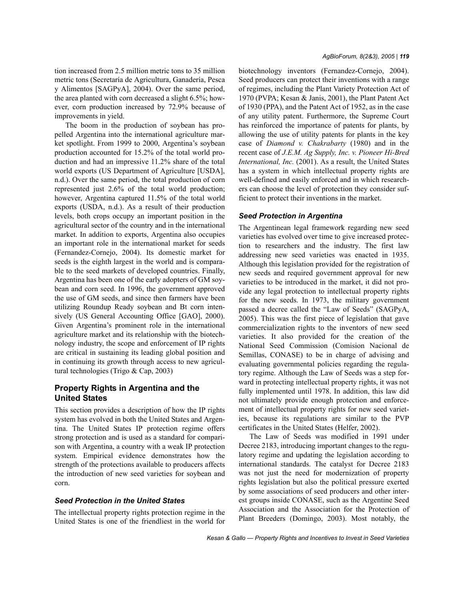tion increased from 2.5 million metric tons to 35 million metric tons (Secretaría de Agricultura, Ganadería, Pesca y Alimentos [SAGPyA], 2004). Over the same period, the area planted with corn decreased a slight 6.5%; however, corn production increased by 72.9% because of improvements in yield.

The boom in the production of soybean has propelled Argentina into the international agriculture market spotlight. From 1999 to 2000, Argentina's soybean production accounted for 15.2% of the total world production and had an impressive 11.2% share of the total world exports (US Department of Agriculture [USDA], n.d.). Over the same period, the total production of corn represented just 2.6% of the total world production; however, Argentina captured 11.5% of the total world exports (USDA, n.d.). As a result of their production levels, both crops occupy an important position in the agricultural sector of the country and in the international market. In addition to exports, Argentina also occupies an important role in the international market for seeds (Fernandez-Cornejo, 2004). Its domestic market for seeds is the eighth largest in the world and is comparable to the seed markets of developed countries. Finally, Argentina has been one of the early adopters of GM soybean and corn seed. In 1996, the government approved the use of GM seeds, and since then farmers have been utilizing Roundup Ready soybean and Bt corn intensively (US General Accounting Office [GAO], 2000). Given Argentina's prominent role in the international agriculture market and its relationship with the biotechnology industry, the scope and enforcement of IP rights are critical in sustaining its leading global position and in continuing its growth through access to new agricultural technologies (Trigo & Cap, 2003)

# **Property Rights in Argentina and the United States**

This section provides a description of how the IP rights system has evolved in both the United States and Argentina. The United States IP protection regime offers strong protection and is used as a standard for comparison with Argentina, a country with a weak IP protection system. Empirical evidence demonstrates how the strength of the protections available to producers affects the introduction of new seed varieties for soybean and corn.

### *Seed Protection in the United States*

The intellectual property rights protection regime in the United States is one of the friendliest in the world for biotechnology inventors (Fernandez-Cornejo, 2004). Seed producers can protect their inventions with a range of regimes, including the Plant Variety Protection Act of 1970 (PVPA; Kesan & Janis, 2001), the Plant Patent Act of 1930 (PPA), and the Patent Act of 1952, as in the case of any utility patent. Furthermore, the Supreme Court has reinforced the importance of patents for plants, by allowing the use of utility patents for plants in the key case of *Diamond v. Chakrabarty* (1980) and in the recent case of *J.E.M. Ag Supply, Inc. v. Pioneer Hi-Bred International, Inc.* (2001). As a result, the United States has a system in which intellectual property rights are well-defined and easily enforced and in which researchers can choose the level of protection they consider sufficient to protect their inventions in the market.

#### *Seed Protection in Argentina*

The Argentinean legal framework regarding new seed varieties has evolved over time to give increased protection to researchers and the industry. The first law addressing new seed varieties was enacted in 1935. Although this legislation provided for the registration of new seeds and required government approval for new varieties to be introduced in the market, it did not provide any legal protection to intellectual property rights for the new seeds. In 1973, the military government passed a decree called the "Law of Seeds" (SAGPyA, 2005). This was the first piece of legislation that gave commercialization rights to the inventors of new seed varieties. It also provided for the creation of the National Seed Commission (Comision Nacional de Semillas, CONASE) to be in charge of advising and evaluating governmental policies regarding the regulatory regime. Although the Law of Seeds was a step forward in protecting intellectual property rights, it was not fully implemented until 1978. In addition, this law did not ultimately provide enough protection and enforcement of intellectual property rights for new seed varieties, because its regulations are similar to the PVP certificates in the United States (Helfer, 2002).

The Law of Seeds was modified in 1991 under Decree 2183, introducing important changes to the regulatory regime and updating the legislation according to international standards. The catalyst for Decree 2183 was not just the need for modernization of property rights legislation but also the political pressure exerted by some associations of seed producers and other interest groups inside CONASE, such as the Argentine Seed Association and the Association for the Protection of Plant Breeders (Domingo, 2003). Most notably, the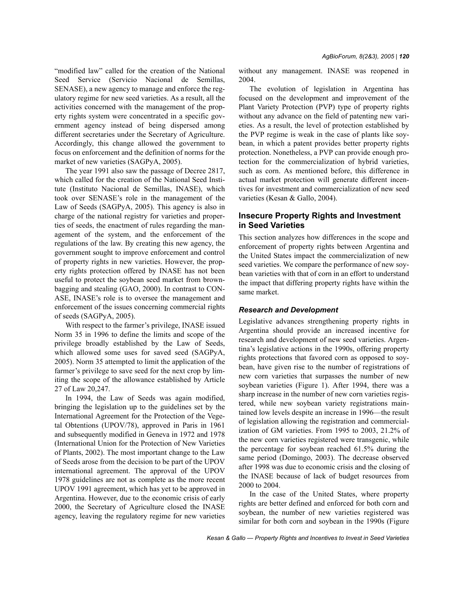"modified law" called for the creation of the National Seed Service (Servicio Nacional de Semillas, SENASE), a new agency to manage and enforce the regulatory regime for new seed varieties. As a result, all the activities concerned with the management of the property rights system were concentrated in a specific government agency instead of being dispersed among different secretaries under the Secretary of Agriculture. Accordingly, this change allowed the government to focus on enforcement and the definition of norms for the market of new varieties (SAGPyA, 2005).

The year 1991 also saw the passage of Decree 2817, which called for the creation of the National Seed Institute (Instituto Nacional de Semillas, INASE), which took over SENASE's role in the management of the Law of Seeds (SAGPyA, 2005). This agency is also in charge of the national registry for varieties and properties of seeds, the enactment of rules regarding the management of the system, and the enforcement of the regulations of the law. By creating this new agency, the government sought to improve enforcement and control of property rights in new varieties. However, the property rights protection offered by INASE has not been useful to protect the soybean seed market from brownbagging and stealing (GAO, 2000). In contrast to CON-ASE, INASE's role is to oversee the management and enforcement of the issues concerning commercial rights of seeds (SAGPyA, 2005).

With respect to the farmer's privilege, INASE issued Norm 35 in 1996 to define the limits and scope of the privilege broadly established by the Law of Seeds, which allowed some uses for saved seed (SAGPyA, 2005). Norm 35 attempted to limit the application of the farmer's privilege to save seed for the next crop by limiting the scope of the allowance established by Article 27 of Law 20,247.

In 1994, the Law of Seeds was again modified, bringing the legislation up to the guidelines set by the International Agreement for the Protection of the Vegetal Obtentions (UPOV/78), approved in Paris in 1961 and subsequently modified in Geneva in 1972 and 1978 (International Union for the Protection of New Varieties of Plants, 2002). The most important change to the Law of Seeds arose from the decision to be part of the UPOV international agreement. The approval of the UPOV 1978 guidelines are not as complete as the more recent UPOV 1991 agreement, which has yet to be approved in Argentina. However, due to the economic crisis of early 2000, the Secretary of Agriculture closed the INASE agency, leaving the regulatory regime for new varieties without any management. INASE was reopened in 2004.

The evolution of legislation in Argentina has focused on the development and improvement of the Plant Variety Protection (PVP) type of property rights without any advance on the field of patenting new varieties. As a result, the level of protection established by the PVP regime is weak in the case of plants like soybean, in which a patent provides better property rights protection. Nonetheless, a PVP can provide enough protection for the commercialization of hybrid varieties, such as corn. As mentioned before, this difference in actual market protection will generate different incentives for investment and commercialization of new seed varieties (Kesan & Gallo, 2004).

# **Insecure Property Rights and Investment in Seed Varieties**

This section analyzes how differences in the scope and enforcement of property rights between Argentina and the United States impact the commercialization of new seed varieties. We compare the performance of new soybean varieties with that of corn in an effort to understand the impact that differing property rights have within the same market.

#### *Research and Development*

Legislative advances strengthening property rights in Argentina should provide an increased incentive for research and development of new seed varieties. Argentina's legislative actions in the 1990s, offering property rights protections that favored corn as opposed to soybean, have given rise to the number of registrations of new corn varieties that surpasses the number of new soybean varieties (Figure 1). After 1994, there was a sharp increase in the number of new corn varieties registered, while new soybean variety registrations maintained low levels despite an increase in 1996—the result of legislation allowing the registration and commercialization of GM varieties. From 1995 to 2003, 21.2% of the new corn varieties registered were transgenic, while the percentage for soybean reached 61.5% during the same period (Domingo, 2003). The decrease observed after 1998 was due to economic crisis and the closing of the INASE because of lack of budget resources from 2000 to 2004.

In the case of the United States, where property rights are better defined and enforced for both corn and soybean, the number of new varieties registered was similar for both corn and soybean in the 1990s (Figure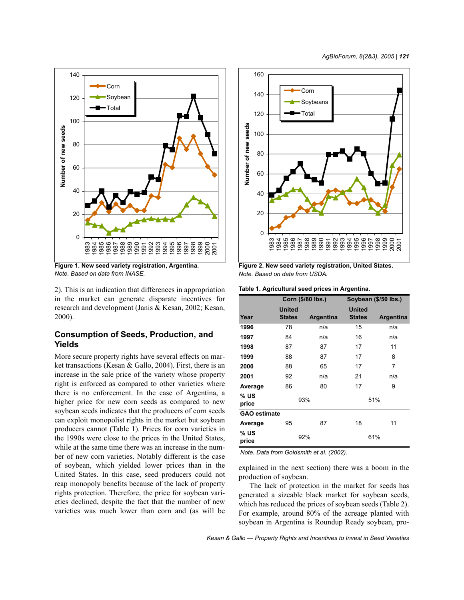

**Figure 1. New seed variety registration, Argentina.** *Note. Based on data from INASE.*

2). This is an indication that differences in appropriation in the market can generate disparate incentives for research and development (Janis & Kesan, 2002; Kesan, 2000).

# **Consumption of Seeds, Production, and Yields**

More secure property rights have several effects on market transactions (Kesan & Gallo, 2004). First, there is an increase in the sale price of the variety whose property right is enforced as compared to other varieties where there is no enforcement. In the case of Argentina, a higher price for new corn seeds as compared to new soybean seeds indicates that the producers of corn seeds can exploit monopolist rights in the market but soybean producers cannot (Table 1). Prices for corn varieties in the 1990s were close to the prices in the United States, while at the same time there was an increase in the number of new corn varieties. Notably different is the case of soybean, which yielded lower prices than in the United States. In this case, seed producers could not reap monopoly benefits because of the lack of property rights protection. Therefore, the price for soybean varieties declined, despite the fact that the number of new varieties was much lower than corn and (as will be



**Figure 2. New seed variety registration, United States.** *Note. Based on data from USDA.*

| Table 1. Agricultural seed prices in Argentina. |  |  |  |  |  |  |  |
|-------------------------------------------------|--|--|--|--|--|--|--|
|-------------------------------------------------|--|--|--|--|--|--|--|

|                     | Corn (\$/80 lbs.)              |           | Soybean (\$/50 lbs.)           |           |  |
|---------------------|--------------------------------|-----------|--------------------------------|-----------|--|
| Year                | <b>United</b><br><b>States</b> | Argentina | <b>United</b><br><b>States</b> | Argentina |  |
| 1996                | 78                             | n/a       | 15                             | n/a       |  |
| 1997                | 84                             | n/a       | 16                             | n/a       |  |
| 1998                | 87                             | 87        | 17                             | 11        |  |
| 1999                | 88                             | 87        | 17                             | 8         |  |
| 2000                | 88                             | 65        | 17                             | 7         |  |
| 2001                | 92                             | n/a       | 21                             | n/a       |  |
| Average             | 86                             | 80        | 17                             | 9         |  |
| % US<br>price       | 93%                            |           | 51%                            |           |  |
| <b>GAO estimate</b> |                                |           |                                |           |  |
| Average             | 95                             | 87        | 18                             | 11        |  |
| % US<br>price       |                                | 92%       |                                | 61%       |  |

*Note. Data from Goldsmith et al. (2002).*

explained in the next section) there was a boom in the production of soybean.

The lack of protection in the market for seeds has generated a sizeable black market for soybean seeds, which has reduced the prices of soybean seeds (Table 2). For example, around 80% of the acreage planted with soybean in Argentina is Roundup Ready soybean, pro-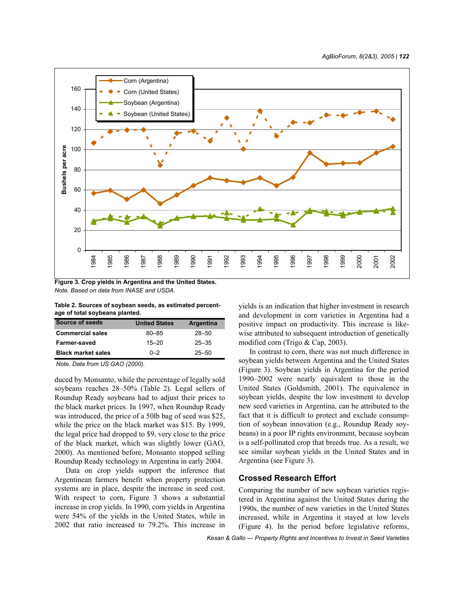

**Figure 3. Crop yields in Argentina and the United States.** *Note. Based on data from INASE and USDA.*

**Table 2. Sources of soybean seeds, as estimated percentage of total soybeans planted.**

| Source of seeds           | <b>United States</b> | Argentina |
|---------------------------|----------------------|-----------|
| <b>Commercial sales</b>   | $80 - 85$            | $28 - 50$ |
| Farmer-saved              | $15 - 20$            | $25 - 35$ |
| <b>Black market sales</b> | $0 - 2$              | $25 - 50$ |

*Note. Data from US GAO (2000).*

duced by Monsanto, while the percentage of legally sold soybeans reaches 28–50% (Table 2). Legal sellers of Roundup Ready soybeans had to adjust their prices to the black market prices. In 1997, when Roundup Ready was introduced, the price of a 50lb bag of seed was \$25, while the price on the black market was \$15. By 1999, the legal price had dropped to \$9, very close to the price of the black market, which was slightly lower (GAO, 2000). As mentioned before, Monsanto stopped selling Roundup Ready technology in Argentina in early 2004.

Data on crop yields support the inference that Argentinean farmers benefit when property protection systems are in place, despite the increase in seed cost. With respect to corn, Figure 3 shows a substantial increase in crop yields. In 1990, corn yields in Argentina were 54% of the yields in the United States, while in 2002 that ratio increased to 79.2%. This increase in

yields is an indication that higher investment in research and development in corn varieties in Argentina had a positive impact on productivity. This increase is likewise attributed to subsequent introduction of genetically modified corn (Trigo & Cap, 2003).

In contrast to corn, there was not much difference in soybean yields between Argentina and the United States (Figure 3). Soybean yields in Argentina for the period 1990–2002 were nearly equivalent to those in the United States (Goldsmith, 2001). The equivalence in soybean yields, despite the low investment to develop new seed varieties in Argentina, can be attributed to the fact that it is difficult to protect and exclude consumption of soybean innovation (e.g., Roundup Ready soybeans) in a poor IP rights environment, because soybean is a self-pollinated crop that breeds true. As a result, we see similar soybean yields in the United States and in Argentina (see Figure 3).

# **Crossed Research Effort**

Comparing the number of new soybean varieties registered in Argentina against the United States during the 1990s, the number of new varieties in the United States increased, while in Argentina it stayed at low levels (Figure 4). In the period before legislative reforms,

*Kesan & Gallo — Property Rights and Incentives to Invest in Seed Varieties*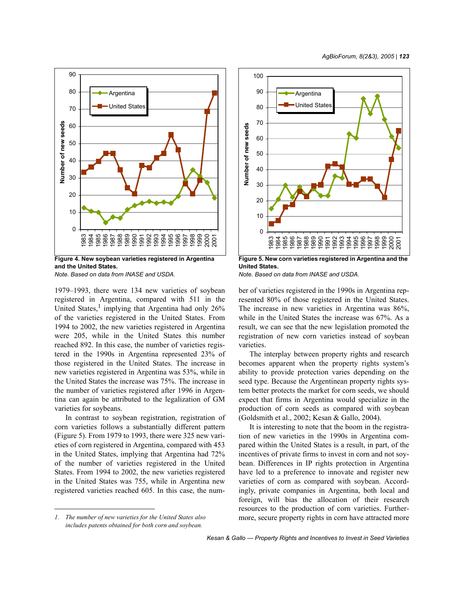

**Figure 4. New soybean varieties registered in Argentina and the United States.**

*Note. Based on data from INASE and USDA.*

1979–1993, there were 134 new varieties of soybean registered in Argentina, compared with 511 in the United States,<sup>1</sup> implying that Argentina had only 26% of the varieties registered in the United States. From 1994 to 2002, the new varieties registered in Argentina were 205, while in the United States this number reached 892. In this case, the number of varieties registered in the 1990s in Argentina represented 23% of those registered in the United States. The increase in new varieties registered in Argentina was 53%, while in the United States the increase was 75%. The increase in the number of varieties registered after 1996 in Argentina can again be attributed to the legalization of GM varieties for soybeans.

In contrast to soybean registration, registration of corn varieties follows a substantially different pattern (Figure 5). From 1979 to 1993, there were 325 new varieties of corn registered in Argentina, compared with 453 in the United States, implying that Argentina had 72% of the number of varieties registered in the United States. From 1994 to 2002, the new varieties registered in the United States was 755, while in Argentina new registered varieties reached 605. In this case, the num-





**Figure 5. New corn varieties registered in Argentina and the United States.**

*Note. Based on data from INASE and USDA.*

ber of varieties registered in the 1990s in Argentina represented 80% of those registered in the United States. The increase in new varieties in Argentina was 86%, while in the United States the increase was 67%. As a result, we can see that the new legislation promoted the registration of new corn varieties instead of soybean varieties.

The interplay between property rights and research becomes apparent when the property rights system's ability to provide protection varies depending on the seed type. Because the Argentinean property rights system better protects the market for corn seeds, we should expect that firms in Argentina would specialize in the production of corn seeds as compared with soybean (Goldsmith et al., 2002; Kesan & Gallo, 2004).

It is interesting to note that the boom in the registration of new varieties in the 1990s in Argentina compared within the United States is a result, in part, of the incentives of private firms to invest in corn and not soybean. Differences in IP rights protection in Argentina have led to a preference to innovate and register new varieties of corn as compared with soybean. Accordingly, private companies in Argentina, both local and foreign, will bias the allocation of their research resources to the production of corn varieties. Furthermore, secure property rights in corn have attracted more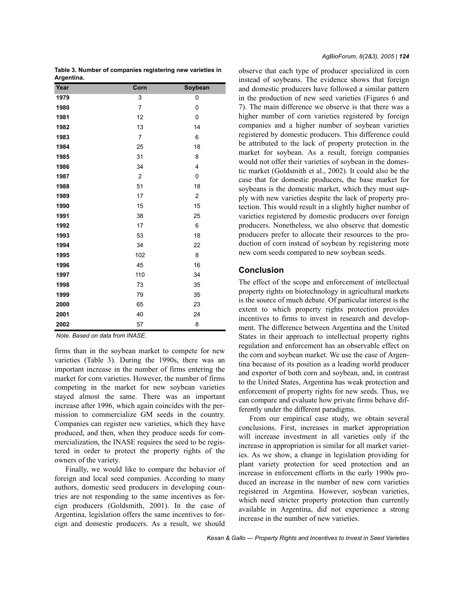**Table 3. Number of companies registering new varieties in Argentina.**

| Year | Corn           | Soybean        |
|------|----------------|----------------|
| 1979 | 3              | 0              |
| 1980 | 7              | 0              |
| 1981 | 12             | 0              |
| 1982 | 13             | 14             |
| 1983 | 7              | 6              |
| 1984 | 25             | 18             |
| 1985 | 31             | 8              |
| 1986 | 34             | 4              |
| 1987 | $\overline{c}$ | 0              |
| 1988 | 51             | 18             |
| 1989 | 17             | $\overline{c}$ |
| 1990 | 15             | 15             |
| 1991 | 38             | 25             |
| 1992 | 17             | 6              |
| 1993 | 53             | 18             |
| 1994 | 34             | 22             |
| 1995 | 102            | 8              |
| 1996 | 45             | 16             |
| 1997 | 110            | 34             |
| 1998 | 73             | 35             |
| 1999 | 79             | 35             |
| 2000 | 65             | 23             |
| 2001 | 40             | 24             |
| 2002 | 57             | 8              |

*Note. Based on data from INASE.* 

firms than in the soybean market to compete for new varieties (Table 3). During the 1990s, there was an important increase in the number of firms entering the market for corn varieties. However, the number of firms competing in the market for new soybean varieties stayed almost the same. There was an important increase after 1996, which again coincides with the permission to commercialize GM seeds in the country. Companies can register new varieties, which they have produced, and then, when they produce seeds for commercialization, the INASE requires the seed to be registered in order to protect the property rights of the owners of the variety.

Finally, we would like to compare the behavior of foreign and local seed companies. According to many authors, domestic seed producers in developing countries are not responding to the same incentives as foreign producers (Goldsmith, 2001). In the case of Argentina, legislation offers the same incentives to foreign and domestic producers. As a result, we should

observe that each type of producer specialized in corn instead of soybeans. The evidence shows that foreign and domestic producers have followed a similar pattern in the production of new seed varieties (Figures 6 and 7). The main difference we observe is that there was a higher number of corn varieties registered by foreign companies and a higher number of soybean varieties registered by domestic producers. This difference could be attributed to the lack of property protection in the market for soybean. As a result, foreign companies would not offer their varieties of soybean in the domestic market (Goldsmith et al., 2002). It could also be the case that for domestic producers, the base market for soybeans is the domestic market, which they must supply with new varieties despite the lack of property protection. This would result in a slightly higher number of varieties registered by domestic producers over foreign producers. Nonetheless, we also observe that domestic producers prefer to allocate their resources to the production of corn instead of soybean by registering more new corn seeds compared to new soybean seeds.

## **Conclusion**

The effect of the scope and enforcement of intellectual property rights on biotechnology in agricultural markets is the source of much debate. Of particular interest is the extent to which property rights protection provides incentives to firms to invest in research and development. The difference between Argentina and the United States in their approach to intellectual property rights regulation and enforcement has an observable effect on the corn and soybean market. We use the case of Argentina because of its position as a leading world producer and exporter of both corn and soybean, and, in contrast to the United States, Argentina has weak protection and enforcement of property rights for new seeds. Thus, we can compare and evaluate how private firms behave differently under the different paradigms.

From our empirical case study, we obtain several conclusions. First, increases in market appropriation will increase investment in all varieties only if the increase in appropriation is similar for all market varieties. As we show, a change in legislation providing for plant variety protection for seed protection and an increase in enforcement efforts in the early 1990s produced an increase in the number of new corn varieties registered in Argentina. However, soybean varieties, which need stricter property protection than currently available in Argentina, did not experience a strong increase in the number of new varieties.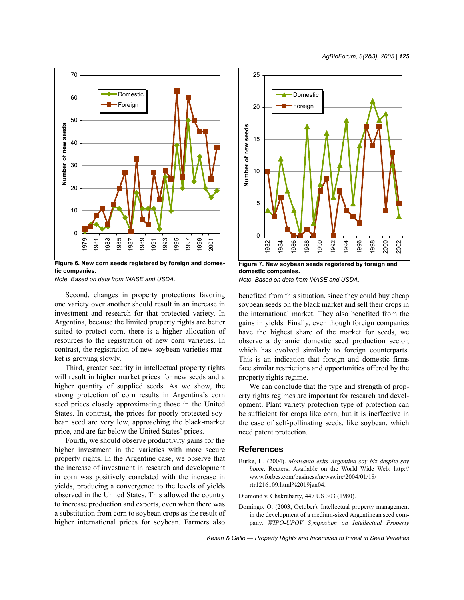

**Figure 6. New corn seeds registered by foreign and domestic companies.**

*Note. Based on data from INASE and USDA.*

Second, changes in property protections favoring one variety over another should result in an increase in investment and research for that protected variety. In Argentina, because the limited property rights are better suited to protect corn, there is a higher allocation of resources to the registration of new corn varieties. In contrast, the registration of new soybean varieties market is growing slowly.

Third, greater security in intellectual property rights will result in higher market prices for new seeds and a higher quantity of supplied seeds. As we show, the strong protection of corn results in Argentina's corn seed prices closely approximating those in the United States. In contrast, the prices for poorly protected soybean seed are very low, approaching the black-market price, and are far below the United States' prices.

Fourth, we should observe productivity gains for the higher investment in the varieties with more secure property rights. In the Argentine case, we observe that the increase of investment in research and development in corn was positively correlated with the increase in yields, producing a convergence to the levels of yields observed in the United States. This allowed the country to increase production and exports, even when there was a substitution from corn to soybean crops as the result of higher international prices for soybean. Farmers also



**Figure 7. New soybean seeds registered by foreign and domestic companies.** *Note. Based on data from INASE and USDA.*

benefited from this situation, since they could buy cheap soybean seeds on the black market and sell their crops in the international market. They also benefited from the gains in yields. Finally, even though foreign companies have the highest share of the market for seeds, we observe a dynamic domestic seed production sector, which has evolved similarly to foreign counterparts. This is an indication that foreign and domestic firms face similar restrictions and opportunities offered by the property rights regime.

We can conclude that the type and strength of property rights regimes are important for research and development. Plant variety protection type of protection can be sufficient for crops like corn, but it is ineffective in the case of self-pollinating seeds, like soybean, which need patent protection.

## **References**

Burke, H. (2004). *Monsanto exits Argentina soy biz despite soy boom*. Reuters. Available on the World Wide Web: http:// www.forbes.com/business/newswire/2004/01/18/ rtr1216109.html%2019jan04.

Diamond v. Chakrabarty, 447 US 303 (1980).

Domingo, O. (2003, October). Intellectual property management in the development of a medium-sized Argentinean seed company. *WIPO-UPOV Symposium on Intellectual Property*

*Kesan & Gallo — Property Rights and Incentives to Invest in Seed Varieties*